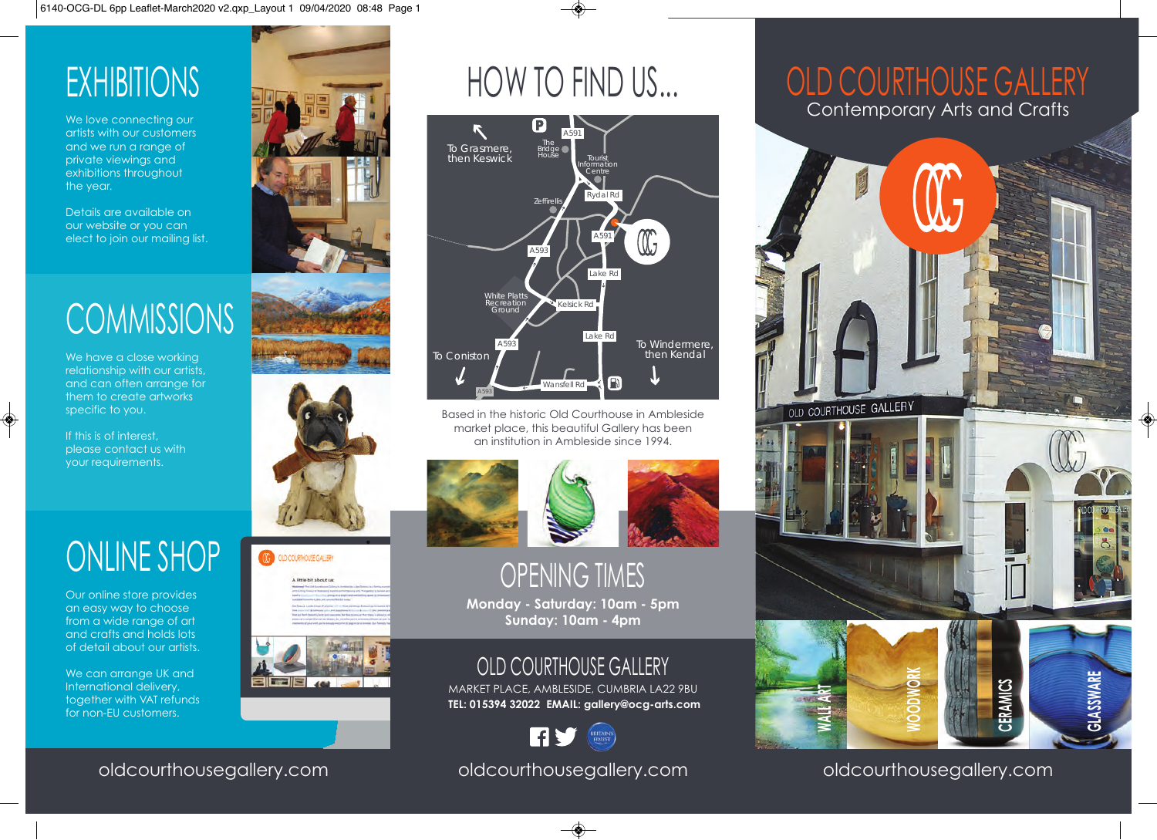# **EXHIBITIONS**

We love connecting our artists with our customers and we run a range of private viewings and exhibitions throughout the year.

Details are available on our website or you can elect to join our mailing list.

# **COMMISSIONS**

We have a close working relationship with our artists, and can often arrange for them to create artworks specific to you.

If this is of interest, please contact us with your requirements.

# ONLINE SHOP

Our online store provides an easy way to choose from a wide range of art and crafts and holds lots of detail about our artists.

We can arrange UK and International delivery, together with VAT refunds for non-EU customers.





D COURTHOURE GALLERY A little bit about u



# HOW TO FIND US...



Based in the historic Old Courthouse in Ambleside market place, this beautiful Gallery has been an institution in Ambleside since 1994.





# OPENING TIMES

**Monday - Saturday: 10am - 5pm Sunday: 10am - 4pm**

## OLD COURTHOUSE GALLERY

MARKET PLACE, AMBLESIDE, CUMBRIA LA22 9BU  **TEL: 015394 32022 EMAIL: gallery@ocg-arts.com**



#### oldcourthousegallery.com

# OLD COURTHOUSE GALLERY Contemporary Arts and Crafts



oldcourthousegallery.com

oldcourthousegallery.com